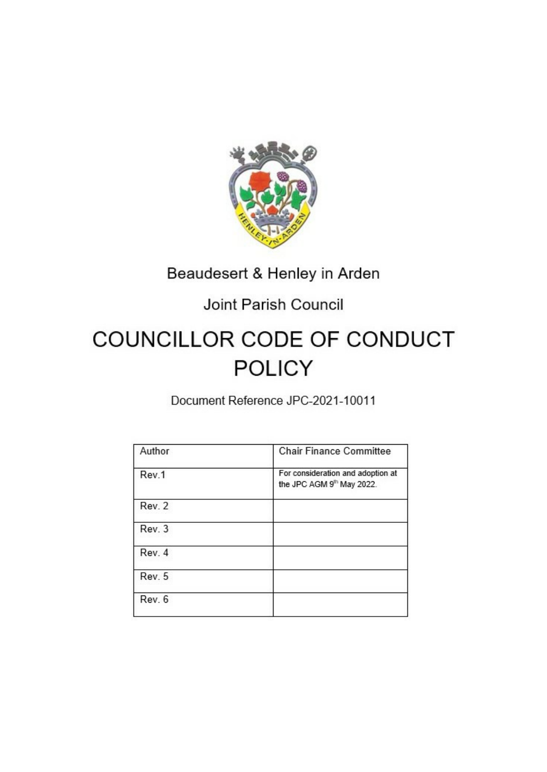

# Beaudesert & Henley in Arden

# Joint Parish Council

# COUNCILLOR CODE OF CONDUCT **POLICY**

Document Reference JPC-2021-10011

| Author | <b>Chair Finance Committee</b>                                             |
|--------|----------------------------------------------------------------------------|
| Rev.1  | For consideration and adoption at<br>the JPC AGM 9 <sup>th</sup> May 2022. |
| Rev. 2 |                                                                            |
| Rev. 3 |                                                                            |
| Rev. 4 |                                                                            |
| Rev. 5 |                                                                            |
| Rev. 6 |                                                                            |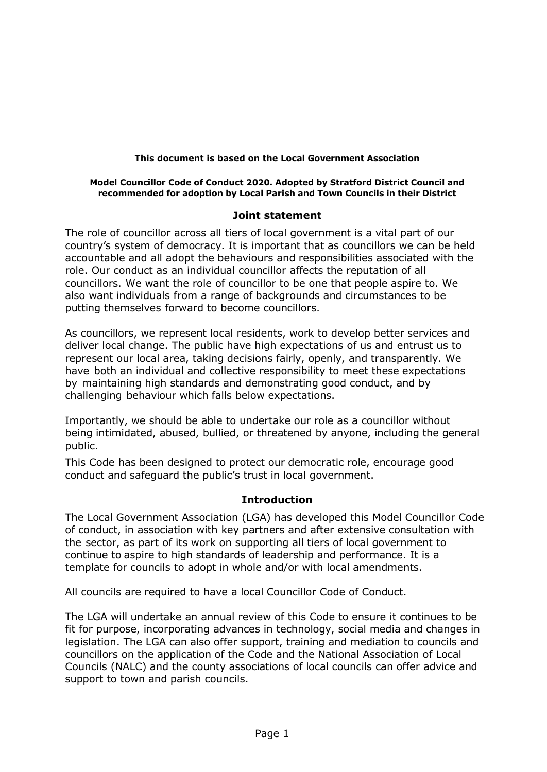#### **This document is based on the Local Government Association**

#### **Model Councillor Code of Conduct 2020. Adopted by Stratford District Council and recommended for adoption by Local Parish and Town Councils in their District**

# **Joint statement**

The role of councillor across all tiers of local government is a vital part of our country's system of democracy. It is important that as councillors we can be held accountable and all adopt the behaviours and responsibilities associated with the role. Our conduct as an individual councillor affects the reputation of all councillors. We want the role of councillor to be one that people aspire to. We also want individuals from a range of backgrounds and circumstances to be putting themselves forward to become councillors.

As councillors, we represent local residents, work to develop better services and deliver local change. The public have high expectations of us and entrust us to represent our local area, taking decisions fairly, openly, and transparently. We have both an individual and collective responsibility to meet these expectations by maintaining high standards and demonstrating good conduct, and by challenging behaviour which falls below expectations.

Importantly, we should be able to undertake our role as a councillor without being intimidated, abused, bullied, or threatened by anyone, including the general public.

This Code has been designed to protect our democratic role, encourage good conduct and safeguard the public's trust in local government.

# **Introduction**

The Local Government Association (LGA) has developed this Model Councillor Code of conduct, in association with key partners and after extensive consultation with the sector, as part of its work on supporting all tiers of local government to continue to aspire to high standards of leadership and performance. It is a template for councils to adopt in whole and/or with local amendments.

All councils are required to have a local Councillor Code of Conduct.

The LGA will undertake an annual review of this Code to ensure it continues to be fit for purpose, incorporating advances in technology, social media and changes in legislation. The LGA can also offer support, training and mediation to councils and councillors on the application of the Code and the National Association of Local Councils (NALC) and the county associations of local councils can offer advice and support to town and parish councils.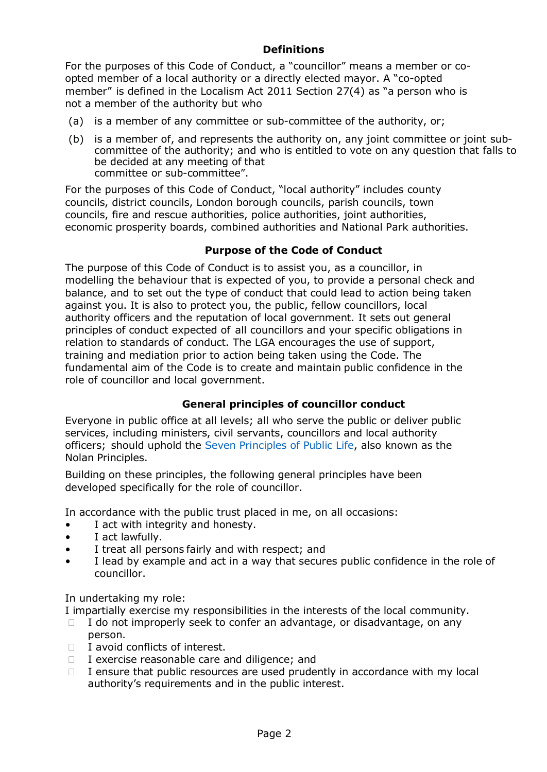# **Definitions**

For the purposes of this Code of Conduct, a "councillor" means a member or coopted member of a local authority or a directly elected mayor. A "co-opted member" is defined in the Localism Act 2011 Section 27(4) as "a person who is not a member of the authority but who

- (a) is a member of any committee or sub-committee of the authority, or;
- (b) is a member of, and represents the authority on, any joint committee or joint subcommittee of the authority; and who is entitled to vote on any question that falls to be decided at any meeting of that committee or sub-committee".

For the purposes of this Code of Conduct, "local authority" includes county councils, district councils, London borough councils, parish councils, town councils, fire and rescue authorities, police authorities, joint authorities, economic prosperity boards, combined authorities and National Park authorities.

# **Purpose of the Code of Conduct**

The purpose of this Code of Conduct is to assist you, as a councillor, in modelling the behaviour that is expected of you, to provide a personal check and balance, and to set out the type of conduct that could lead to action being taken against you. It is also to protect you, the public, fellow councillors, local authority officers and the reputation of local government. It sets out general principles of conduct expected of all councillors and your specific obligations in relation to standards of conduct. The LGA encourages the use of support, training and mediation prior to action being taken using the Code. The fundamental aim of the Code is to create and maintain public confidence in the role of councillor and local government.

# **General principles of councillor conduct**

Everyone in public office at all levels; all who serve the public or deliver public services, including ministers, civil servants, councillors and local authority officers; should uphold the Seven Principles of Public Life, also known as the Nolan Principles.

Building on these principles, the following general principles have been developed specifically for the role of councillor.

In accordance with the public trust placed in me, on all occasions:

- I act with integrity and honesty.
- I act lawfully.
- I treat all persons fairly and with respect; and
- I lead by example and act in a way that secures public confidence in the role of councillor.

In undertaking my role:

I impartially exercise my responsibilities in the interests of the local community.

 I do not improperly seek to confer an advantage, or disadvantage, on any person.

- I avoid conflicts of interest.
- I exercise reasonable care and diligence; and

 I ensure that public resources are used prudently in accordance with my local authority's requirements and in the public interest.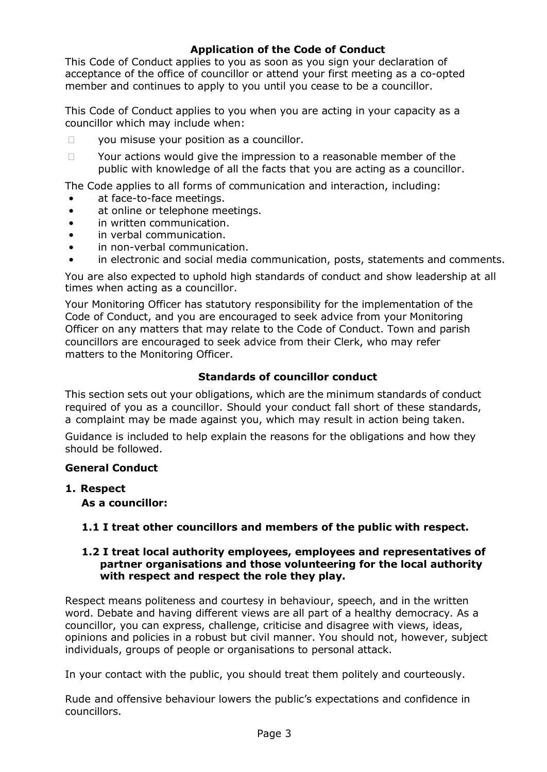# **Application of the Code of Conduct**

This Code of Conduct applies to you as soon as you sign your declaration of acceptance of the office of councillor or attend your first meeting as a co-opted member and continues to apply to you until you cease to be a councillor.

This Code of Conduct applies to you when you are acting in your capacity as a councillor which may include when:

you misuse your position as a councillor.

 Your actions would give the impression to a reasonable member of the public with knowledge of all the facts that you are acting as a councillor.

The Code applies to all forms of communication and interaction, including:

- at face-to-face meetings.
- at online or telephone meetings.
- in written communication.
- in verbal communication.
- in non-verbal communication.
- in electronic and social media communication, posts, statements and comments.

You are also expected to uphold high standards of conduct and show leadership at all times when acting as a councillor.

Your Monitoring Officer has statutory responsibility for the implementation of the Code of Conduct, and you are encouraged to seek advice from your Monitoring Officer on any matters that may relate to the Code of Conduct. Town and parish councillors are encouraged to seek advice from their Clerk, who may refer matters to the Monitoring Officer.

# **Standards of councillor conduct**

This section sets out your obligations, which are the minimum standards of conduct required of you as a councillor. Should your conduct fall short of these standards, a complaint may be made against you, which may result in action being taken.

Guidance is included to help explain the reasons for the obligations and how they should be followed.

#### **General Conduct**

**1. Respect**

**As a councillor:**

# **1.1 I treat other councillors and members of the public with respect.**

#### **1.2 I treat local authority employees, employees and representatives of partner organisations and those volunteering for the local authority with respect and respect the role they play.**

Respect means politeness and courtesy in behaviour, speech, and in the written word. Debate and having different views are all part of a healthy democracy. As a councillor, you can express, challenge, criticise and disagree with views, ideas, opinions and policies in a robust but civil manner. You should not, however, subject individuals, groups of people or organisations to personal attack.

In your contact with the public, you should treat them politely and courteously.

Rude and offensive behaviour lowers the public's expectations and confidence in councillors.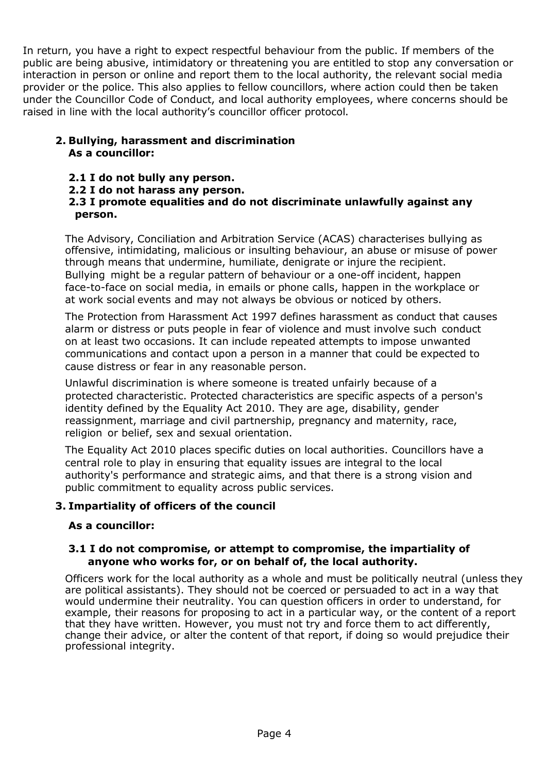In return, you have a right to expect respectful behaviour from the public. If members of the public are being abusive, intimidatory or threatening you are entitled to stop any conversation or interaction in person or online and report them to the local authority, the relevant social media provider or the police. This also applies to fellow councillors, where action could then be taken under the Councillor Code of Conduct, and local authority employees, where concerns should be raised in line with the local authority's councillor officer protocol.

# **2. Bullying, harassment and discrimination As a councillor:**

- **2.1 I do not bully any person.**
- **2.2 I do not harass any person.**

# **2.3 I promote equalities and do not discriminate unlawfully against any person.**

The Advisory, Conciliation and Arbitration Service (ACAS) characterises bullying as offensive, intimidating, malicious or insulting behaviour, an abuse or misuse of power through means that undermine, humiliate, denigrate or injure the recipient. Bullying might be a regular pattern of behaviour or a one-off incident, happen face-to-face on social media, in emails or phone calls, happen in the workplace or at work social events and may not always be obvious or noticed by others.

The Protection from Harassment Act 1997 defines harassment as conduct that causes alarm or distress or puts people in fear of violence and must involve such conduct on at least two occasions. It can include repeated attempts to impose unwanted communications and contact upon a person in a manner that could be expected to cause distress or fear in any reasonable person.

Unlawful discrimination is where someone is treated unfairly because of a protected characteristic. Protected characteristics are specific aspects of a person's identity defined by the Equality Act 2010. They are age, disability, gender reassignment, marriage and civil partnership, pregnancy and maternity, race, religion or belief, sex and sexual orientation.

The Equality Act 2010 places specific duties on local authorities. Councillors have a central role to play in ensuring that equality issues are integral to the local authority's performance and strategic aims, and that there is a strong vision and public commitment to equality across public services.

# **3. Impartiality of officers of the council**

# **As a councillor:**

#### **3.1 I do not compromise, or attempt to compromise, the impartiality of anyone who works for, or on behalf of, the local authority.**

Officers work for the local authority as a whole and must be politically neutral (unless they are political assistants). They should not be coerced or persuaded to act in a way that would undermine their neutrality. You can question officers in order to understand, for example, their reasons for proposing to act in a particular way, or the content of a report that they have written. However, you must not try and force them to act differently, change their advice, or alter the content of that report, if doing so would prejudice their professional integrity.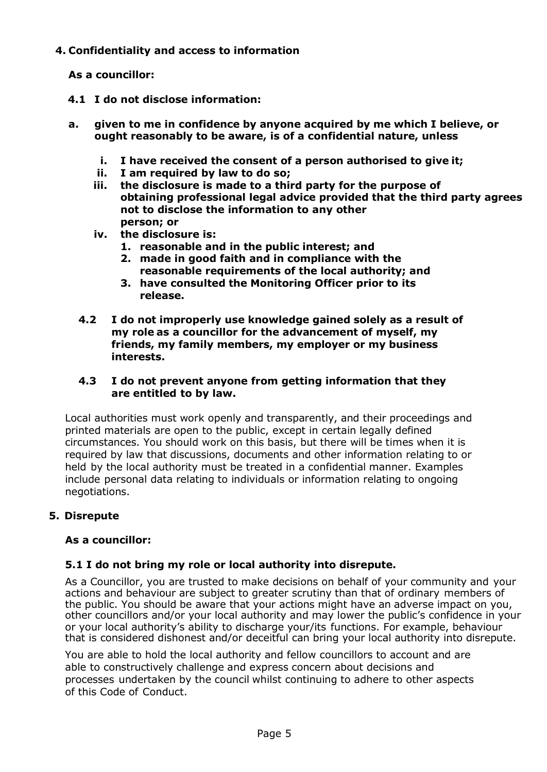# **4. Confidentiality and access to information**

**As a councillor:**

- **4.1 I do not disclose information:**
- **a. given to me in confidence by anyone acquired by me which I believe, or ought reasonably to be aware, is of a confidential nature, unless**
	- **i. I have received the consent of a person authorised to give it;**
	- **ii. I am required by law to do so;**
	- **iii. the disclosure is made to a third party for the purpose of obtaining professional legal advice provided that the third party agrees not to disclose the information to any other person; or**
	- **iv. the disclosure is:**
		- **1. reasonable and in the public interest; and**
		- **2. made in good faith and in compliance with the reasonable requirements of the local authority; and**
		- **3. have consulted the Monitoring Officer prior to its release.**
	- **4.2 I do not improperly use knowledge gained solely as a result of my role as a councillor for the advancement of myself, my friends, my family members, my employer or my business interests.**

# **4.3 I do not prevent anyone from getting information that they are entitled to by law.**

Local authorities must work openly and transparently, and their proceedings and printed materials are open to the public, except in certain legally defined circumstances. You should work on this basis, but there will be times when it is required by law that discussions, documents and other information relating to or held by the local authority must be treated in a confidential manner. Examples include personal data relating to individuals or information relating to ongoing negotiations.

# **5. Disrepute**

# **As a councillor:**

# **5.1 I do not bring my role or local authority into disrepute.**

As a Councillor, you are trusted to make decisions on behalf of your community and your actions and behaviour are subject to greater scrutiny than that of ordinary members of the public. You should be aware that your actions might have an adverse impact on you, other councillors and/or your local authority and may lower the public's confidence in your or your local authority's ability to discharge your/its functions. For example, behaviour that is considered dishonest and/or deceitful can bring your local authority into disrepute.

You are able to hold the local authority and fellow councillors to account and are able to constructively challenge and express concern about decisions and processes undertaken by the council whilst continuing to adhere to other aspects of this Code of Conduct.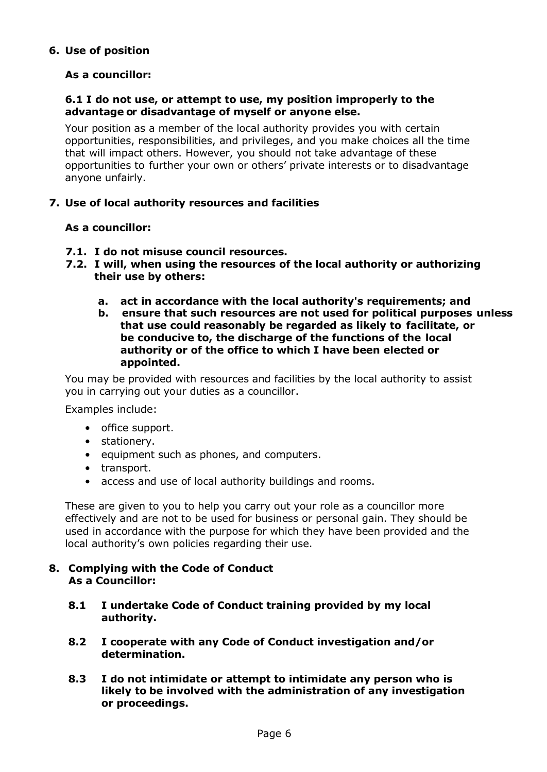# **6. Use of position**

# **As a councillor:**

#### **6.1 I do not use, or attempt to use, my position improperly to the advantage or disadvantage of myself or anyone else.**

Your position as a member of the local authority provides you with certain opportunities, responsibilities, and privileges, and you make choices all the time that will impact others. However, you should not take advantage of these opportunities to further your own or others' private interests or to disadvantage anyone unfairly.

# **7. Use of local authority resources and facilities**

# **As a councillor:**

- **7.1. I do not misuse council resources.**
- **7.2. I will, when using the resources of the local authority or authorizing their use by others:**
	- **a. act in accordance with the local authority's requirements; and**
	- **b. ensure that such resources are not used for political purposes unless that use could reasonably be regarded as likely to facilitate, or be conducive to, the discharge of the functions of the local authority or of the office to which I have been elected or appointed.**

You may be provided with resources and facilities by the local authority to assist you in carrying out your duties as a councillor.

Examples include:

- office support.
- stationery.
- equipment such as phones, and computers.
- transport.
- access and use of local authority buildings and rooms.

These are given to you to help you carry out your role as a councillor more effectively and are not to be used for business or personal gain. They should be used in accordance with the purpose for which they have been provided and the local authority's own policies regarding their use.

#### **8. Complying with the Code of Conduct As a Councillor:**

- **8.1 I undertake Code of Conduct training provided by my local authority.**
- **8.2 I cooperate with any Code of Conduct investigation and/or determination.**
- **8.3 I do not intimidate or attempt to intimidate any person who is likely to be involved with the administration of any investigation or proceedings.**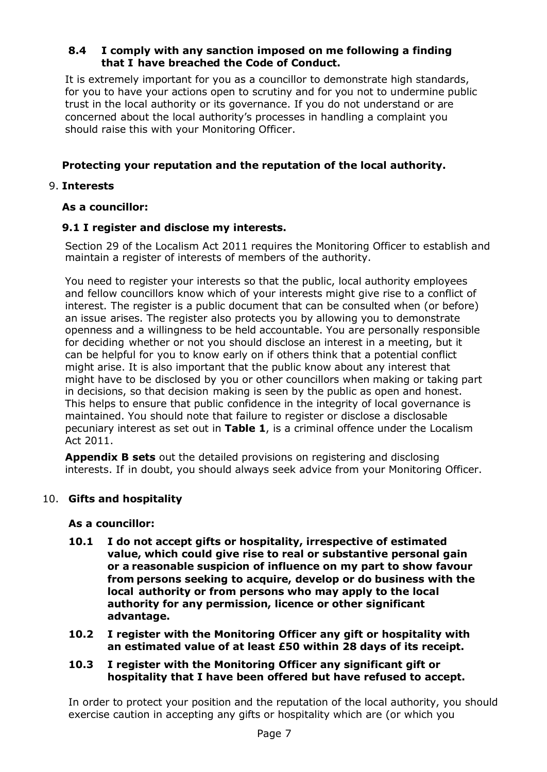# **8.4 I comply with any sanction imposed on me following a finding that I have breached the Code of Conduct.**

It is extremely important for you as a councillor to demonstrate high standards, for you to have your actions open to scrutiny and for you not to undermine public trust in the local authority or its governance. If you do not understand or are concerned about the local authority's processes in handling a complaint you should raise this with your Monitoring Officer.

# **Protecting your reputation and the reputation of the local authority.**

# 9. **Interests**

# **As a councillor:**

# **9.1 I register and disclose my interests.**

Section 29 of the Localism Act 2011 requires the Monitoring Officer to establish and maintain a register of interests of members of the authority.

You need to register your interests so that the public, local authority employees and fellow councillors know which of your interests might give rise to a conflict of interest. The register is a public document that can be consulted when (or before) an issue arises. The register also protects you by allowing you to demonstrate openness and a willingness to be held accountable. You are personally responsible for deciding whether or not you should disclose an interest in a meeting, but it can be helpful for you to know early on if others think that a potential conflict might arise. It is also important that the public know about any interest that might have to be disclosed by you or other councillors when making or taking part in decisions, so that decision making is seen by the public as open and honest. This helps to ensure that public confidence in the integrity of local governance is maintained. You should note that failure to register or disclose a disclosable pecuniary interest as set out in **Table 1**, is a criminal offence under the Localism Act 2011.

**Appendix B sets** out the detailed provisions on registering and disclosing interests. If in doubt, you should always seek advice from your Monitoring Officer.

# 10. **Gifts and hospitality**

# **As a councillor:**

- **10.1 I do not accept gifts or hospitality, irrespective of estimated value, which could give rise to real or substantive personal gain or a reasonable suspicion of influence on my part to show favour from persons seeking to acquire, develop or do business with the local authority or from persons who may apply to the local authority for any permission, licence or other significant advantage.**
- **10.2 I register with the Monitoring Officer any gift or hospitality with an estimated value of at least £50 within 28 days of its receipt.**

#### **10.3 I register with the Monitoring Officer any significant gift or hospitality that I have been offered but have refused to accept.**

In order to protect your position and the reputation of the local authority, you should exercise caution in accepting any gifts or hospitality which are (or which you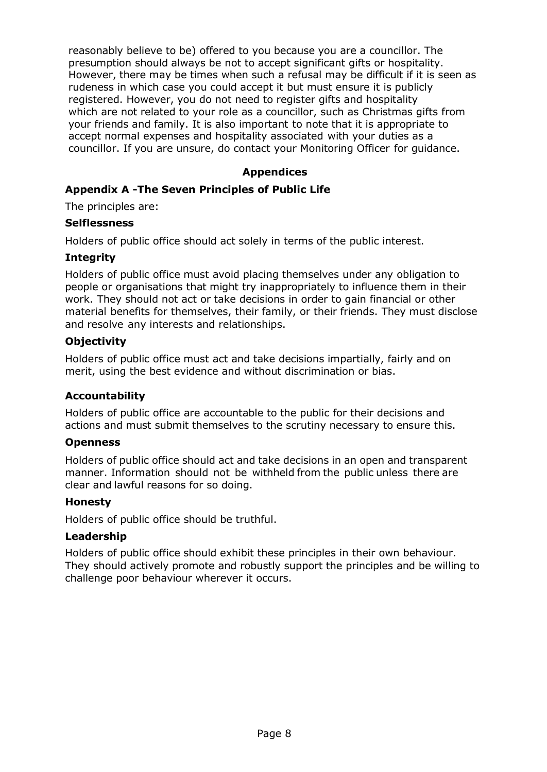reasonably believe to be) offered to you because you are a councillor. The presumption should always be not to accept significant gifts or hospitality. However, there may be times when such a refusal may be difficult if it is seen as rudeness in which case you could accept it but must ensure it is publicly registered. However, you do not need to register gifts and hospitality which are not related to your role as a councillor, such as Christmas gifts from your friends and family. It is also important to note that it is appropriate to accept normal expenses and hospitality associated with your duties as a councillor. If you are unsure, do contact your Monitoring Officer for guidance.

# **Appendices**

# **Appendix A -The Seven Principles of Public Life**

The principles are:

#### **Selflessness**

Holders of public office should act solely in terms of the public interest.

# **Integrity**

Holders of public office must avoid placing themselves under any obligation to people or organisations that might try inappropriately to influence them in their work. They should not act or take decisions in order to gain financial or other material benefits for themselves, their family, or their friends. They must disclose and resolve any interests and relationships.

# **Objectivity**

Holders of public office must act and take decisions impartially, fairly and on merit, using the best evidence and without discrimination or bias.

# **Accountability**

Holders of public office are accountable to the public for their decisions and actions and must submit themselves to the scrutiny necessary to ensure this.

#### **Openness**

Holders of public office should act and take decisions in an open and transparent manner. Information should not be withheld from the public unless there are clear and lawful reasons for so doing.

#### **Honesty**

Holders of public office should be truthful.

#### **Leadership**

Holders of public office should exhibit these principles in their own behaviour. They should actively promote and robustly support the principles and be willing to challenge poor behaviour wherever it occurs.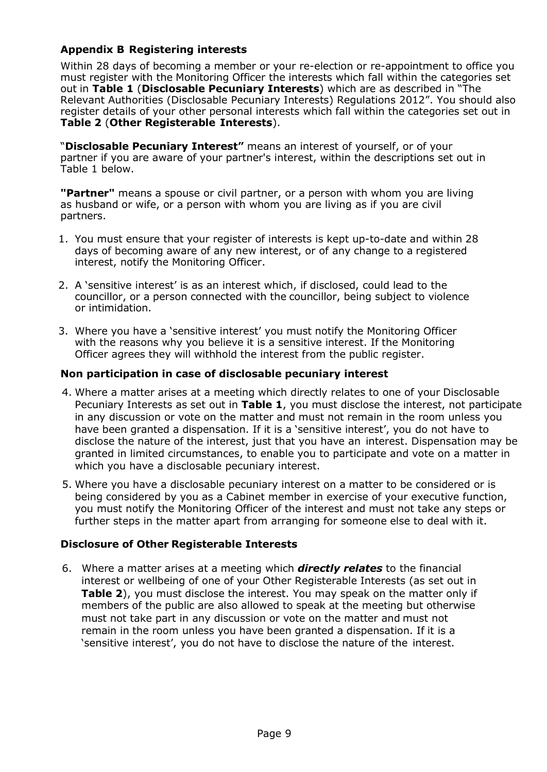# **Appendix B Registering interests**

Within 28 days of becoming a member or your re-election or re-appointment to office you must register with the Monitoring Officer the interests which fall within the categories set out in **Table 1** (**Disclosable Pecuniary Interests**) which are as described in "The Relevant Authorities (Disclosable Pecuniary Interests) Regulations 2012". You should also register details of your other personal interests which fall within the categories set out in **Table 2** (**Other Registerable Interests**).

"**Disclosable Pecuniary Interest"** means an interest of yourself, or of your partner if you are aware of your partner's interest, within the descriptions set out in Table 1 below.

**"Partner"** means a spouse or civil partner, or a person with whom you are living as husband or wife, or a person with whom you are living as if you are civil partners.

- 1. You must ensure that your register of interests is kept up-to-date and within 28 days of becoming aware of any new interest, or of any change to a registered interest, notify the Monitoring Officer.
- 2. A 'sensitive interest' is as an interest which, if disclosed, could lead to the councillor, or a person connected with the councillor, being subject to violence or intimidation.
- 3. Where you have a 'sensitive interest' you must notify the Monitoring Officer with the reasons why you believe it is a sensitive interest. If the Monitoring Officer agrees they will withhold the interest from the public register.

# **Non participation in case of disclosable pecuniary interest**

- 4. Where a matter arises at a meeting which directly relates to one of your Disclosable Pecuniary Interests as set out in **Table 1**, you must disclose the interest, not participate in any discussion or vote on the matter and must not remain in the room unless you have been granted a dispensation. If it is a 'sensitive interest', you do not have to disclose the nature of the interest, just that you have an interest. Dispensation may be granted in limited circumstances, to enable you to participate and vote on a matter in which you have a disclosable pecuniary interest.
- 5. Where you have a disclosable pecuniary interest on a matter to be considered or is being considered by you as a Cabinet member in exercise of your executive function, you must notify the Monitoring Officer of the interest and must not take any steps or further steps in the matter apart from arranging for someone else to deal with it.

# **Disclosure of Other Registerable Interests**

6. Where a matter arises at a meeting which *directly relates* to the financial interest or wellbeing of one of your Other Registerable Interests (as set out in **Table 2**), you must disclose the interest. You may speak on the matter only if members of the public are also allowed to speak at the meeting but otherwise must not take part in any discussion or vote on the matter and must not remain in the room unless you have been granted a dispensation. If it is a 'sensitive interest', you do not have to disclose the nature of the interest.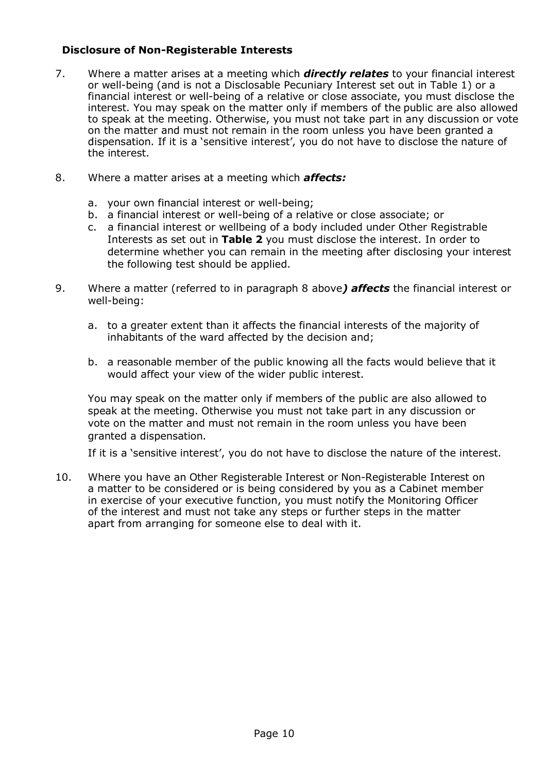# **Disclosure of Non-Registerable Interests**

- 7. Where a matter arises at a meeting which *directly relates* to your financial interest or well-being (and is not a Disclosable Pecuniary Interest set out in Table 1) or a financial interest or well-being of a relative or close associate, you must disclose the interest. You may speak on the matter only if members of the public are also allowed to speak at the meeting. Otherwise, you must not take part in any discussion or vote on the matter and must not remain in the room unless you have been granted a dispensation. If it is a 'sensitive interest', you do not have to disclose the nature of the interest.
- 8. Where a matter arises at a meeting which *affects:*
	- a. your own financial interest or well-being;
	- b. a financial interest or well-being of a relative or close associate; or
	- c. a financial interest or wellbeing of a body included under Other Registrable Interests as set out in **Table 2** you must disclose the interest. In order to determine whether you can remain in the meeting after disclosing your interest the following test should be applied.
- 9. Where a matter (referred to in paragraph 8 above*) affects* the financial interest or well-being:
	- a. to a greater extent than it affects the financial interests of the majority of inhabitants of the ward affected by the decision and;
	- b. a reasonable member of the public knowing all the facts would believe that it would affect your view of the wider public interest.

You may speak on the matter only if members of the public are also allowed to speak at the meeting. Otherwise you must not take part in any discussion or vote on the matter and must not remain in the room unless you have been granted a dispensation.

If it is a 'sensitive interest', you do not have to disclose the nature of the interest.

10. Where you have an Other Registerable Interest or Non-Registerable Interest on a matter to be considered or is being considered by you as a Cabinet member in exercise of your executive function, you must notify the Monitoring Officer of the interest and must not take any steps or further steps in the matter apart from arranging for someone else to deal with it.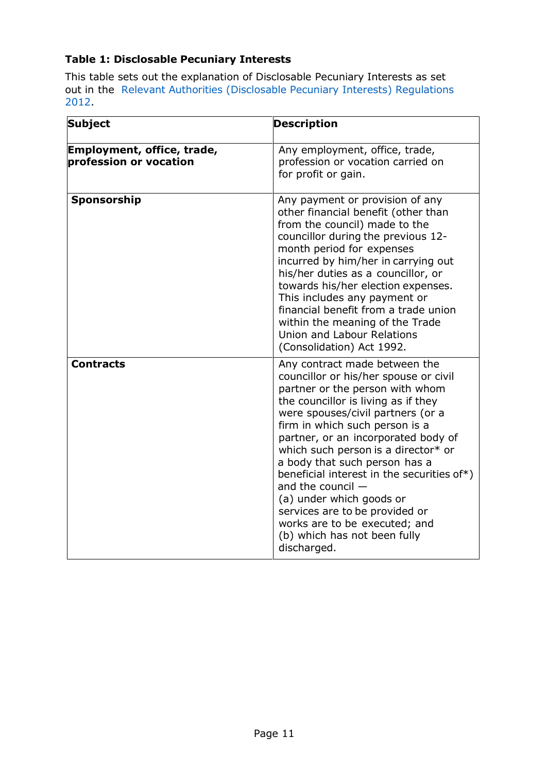# **Table 1: Disclosable Pecuniary Interests**

This table sets out the explanation of Disclosable Pecuniary Interests as set out in the Relevant Authorities (Disclosable Pecuniary Interests) Regulations 2012.

| <b>Subject</b>                                       | <b>Description</b>                                                                                                                                                                                                                                                                                                                                                                                                                                                                                                                                        |
|------------------------------------------------------|-----------------------------------------------------------------------------------------------------------------------------------------------------------------------------------------------------------------------------------------------------------------------------------------------------------------------------------------------------------------------------------------------------------------------------------------------------------------------------------------------------------------------------------------------------------|
| Employment, office, trade,<br>profession or vocation | Any employment, office, trade,<br>profession or vocation carried on<br>for profit or gain.                                                                                                                                                                                                                                                                                                                                                                                                                                                                |
| Sponsorship                                          | Any payment or provision of any<br>other financial benefit (other than<br>from the council) made to the<br>councillor during the previous 12-<br>month period for expenses<br>incurred by him/her in carrying out<br>his/her duties as a councillor, or<br>towards his/her election expenses.<br>This includes any payment or<br>financial benefit from a trade union<br>within the meaning of the Trade<br>Union and Labour Relations<br>(Consolidation) Act 1992.                                                                                       |
| <b>Contracts</b>                                     | Any contract made between the<br>councillor or his/her spouse or civil<br>partner or the person with whom<br>the councillor is living as if they<br>were spouses/civil partners (or a<br>firm in which such person is a<br>partner, or an incorporated body of<br>which such person is a director* or<br>a body that such person has a<br>beneficial interest in the securities of*)<br>and the council $-$<br>(a) under which goods or<br>services are to be provided or<br>works are to be executed; and<br>(b) which has not been fully<br>discharged. |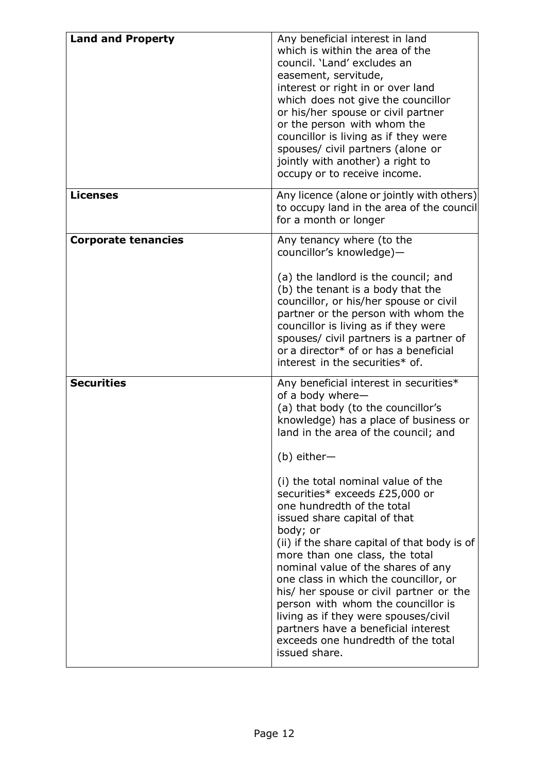| <b>Land and Property</b>   | Any beneficial interest in land<br>which is within the area of the<br>council. 'Land' excludes an<br>easement, servitude,<br>interest or right in or over land<br>which does not give the councillor<br>or his/her spouse or civil partner<br>or the person with whom the<br>councillor is living as if they were<br>spouses/ civil partners (alone or<br>jointly with another) a right to<br>occupy or to receive income.                                                                                                                                                                                                                                                                                                                   |
|----------------------------|----------------------------------------------------------------------------------------------------------------------------------------------------------------------------------------------------------------------------------------------------------------------------------------------------------------------------------------------------------------------------------------------------------------------------------------------------------------------------------------------------------------------------------------------------------------------------------------------------------------------------------------------------------------------------------------------------------------------------------------------|
| <b>Licenses</b>            | Any licence (alone or jointly with others)<br>to occupy land in the area of the council<br>for a month or longer                                                                                                                                                                                                                                                                                                                                                                                                                                                                                                                                                                                                                             |
| <b>Corporate tenancies</b> | Any tenancy where (to the<br>councillor's knowledge)-<br>(a) the landlord is the council; and<br>(b) the tenant is a body that the<br>councillor, or his/her spouse or civil<br>partner or the person with whom the<br>councillor is living as if they were<br>spouses/ civil partners is a partner of<br>or a director* of or has a beneficial<br>interest in the securities* of.                                                                                                                                                                                                                                                                                                                                                           |
| <b>Securities</b>          | Any beneficial interest in securities*<br>of a body where-<br>(a) that body (to the councillor's<br>knowledge) has a place of business or<br>land in the area of the council; and<br>$(b)$ either-<br>(i) the total nominal value of the<br>securities* exceeds £25,000 or<br>one hundredth of the total<br>issued share capital of that<br>body; or<br>(ii) if the share capital of that body is of<br>more than one class, the total<br>nominal value of the shares of any<br>one class in which the councillor, or<br>his/ her spouse or civil partner or the<br>person with whom the councillor is<br>living as if they were spouses/civil<br>partners have a beneficial interest<br>exceeds one hundredth of the total<br>issued share. |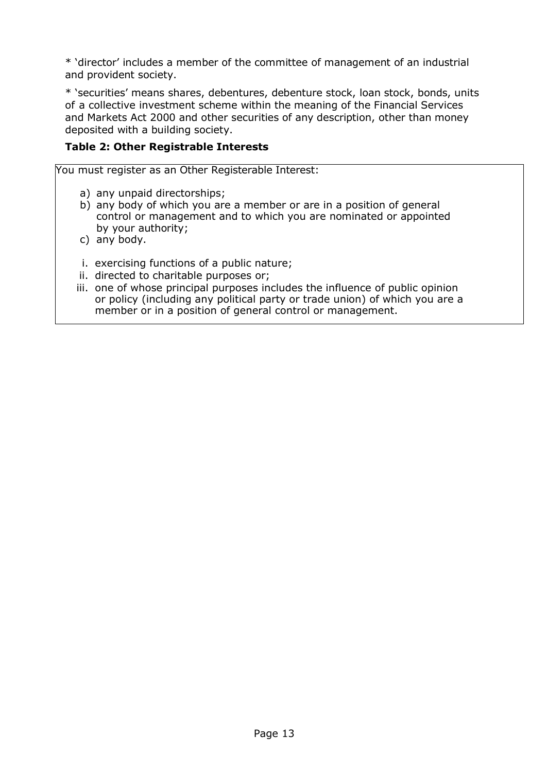\* 'director' includes a member of the committee of management of an industrial and provident society.

\* 'securities' means shares, debentures, debenture stock, loan stock, bonds, units of a collective investment scheme within the meaning of the Financial Services and Markets Act 2000 and other securities of any description, other than money deposited with a building society.

# **Table 2: Other Registrable Interests**

You must register as an Other Registerable Interest:

- a) any unpaid directorships;
- b) any body of which you are a member or are in a position of general control or management and to which you are nominated or appointed by your authority;
- c) any body.
- i. exercising functions of a public nature;
- ii. directed to charitable purposes or;
- iii. one of whose principal purposes includes the influence of public opinion or policy (including any political party or trade union) of which you are a member or in a position of general control or management.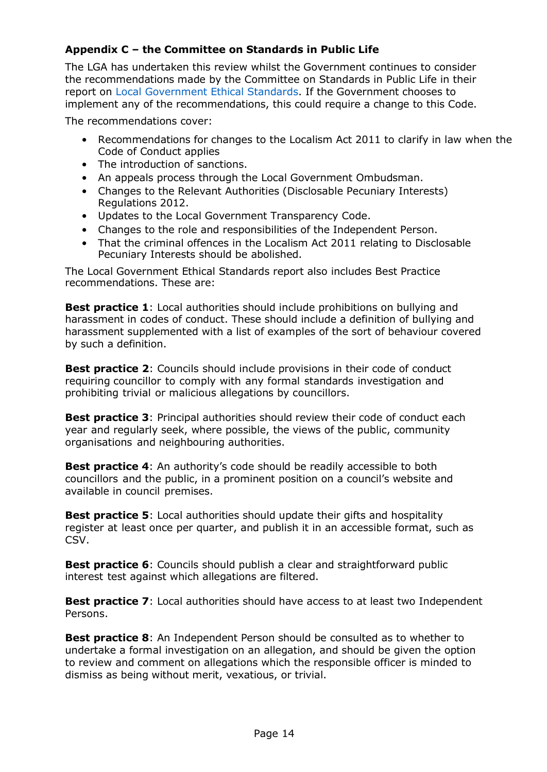# **Appendix C – the Committee on Standards in Public Life**

The LGA has undertaken this review whilst the Government continues to consider the recommendations made by the Committee on Standards in Public Life in their report on Local Government Ethical Standards. If the Government chooses to implement any of the recommendations, this could require a change to this Code.

The recommendations cover:

- Recommendations for changes to the Localism Act 2011 to clarify in law when the Code of Conduct applies
- The introduction of sanctions.
- An appeals process through the Local Government Ombudsman.
- Changes to the Relevant Authorities (Disclosable Pecuniary Interests) Regulations 2012.
- Updates to the Local Government Transparency Code.
- Changes to the role and responsibilities of the Independent Person.
- That the criminal offences in the Localism Act 2011 relating to Disclosable Pecuniary Interests should be abolished.

The Local Government Ethical Standards report also includes Best Practice recommendations. These are:

**Best practice 1**: Local authorities should include prohibitions on bullying and harassment in codes of conduct. These should include a definition of bullying and harassment supplemented with a list of examples of the sort of behaviour covered by such a definition.

**Best practice 2:** Councils should include provisions in their code of conduct requiring councillor to comply with any formal standards investigation and prohibiting trivial or malicious allegations by councillors.

**Best practice 3**: Principal authorities should review their code of conduct each year and regularly seek, where possible, the views of the public, community organisations and neighbouring authorities.

**Best practice 4:** An authority's code should be readily accessible to both councillors and the public, in a prominent position on a council's website and available in council premises.

**Best practice 5**: Local authorities should update their gifts and hospitality register at least once per quarter, and publish it in an accessible format, such as CSV.

**Best practice 6**: Councils should publish a clear and straightforward public interest test against which allegations are filtered.

**Best practice 7**: Local authorities should have access to at least two Independent Persons.

**Best practice 8**: An Independent Person should be consulted as to whether to undertake a formal investigation on an allegation, and should be given the option to review and comment on allegations which the responsible officer is minded to dismiss as being without merit, vexatious, or trivial.